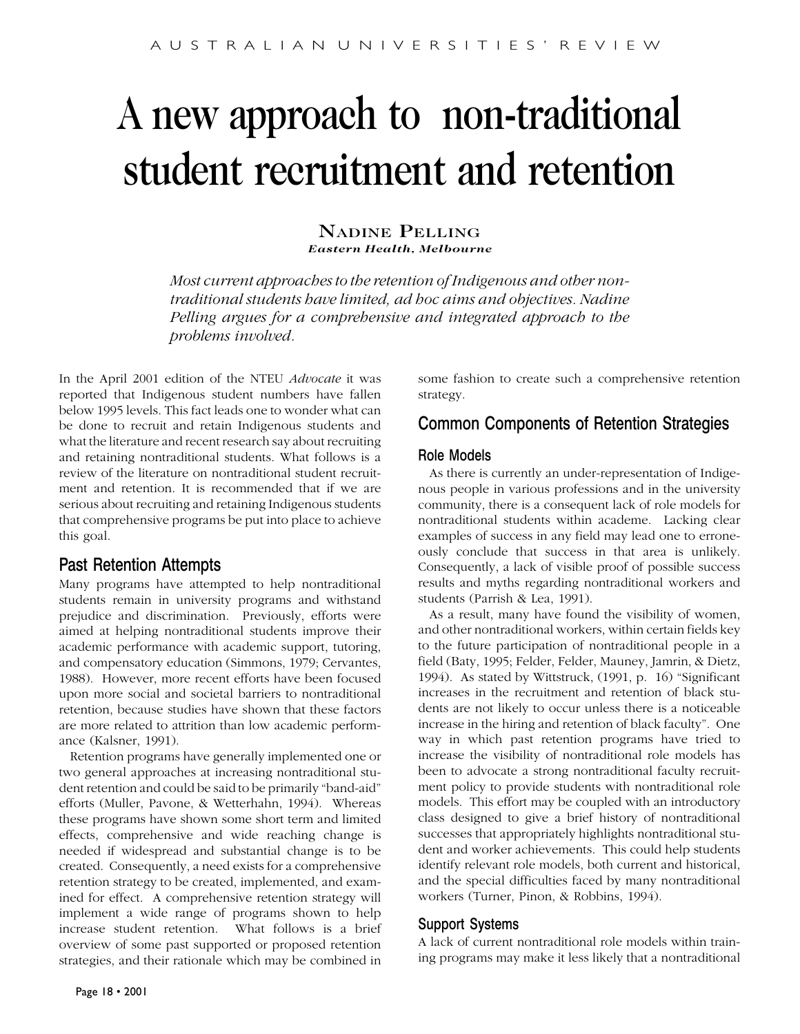# A new approach to non-traditional student recruitment and retention

#### NADINE PELLING *Eastern Health, Melbourne*

*Most current approaches to the retention of Indigenous and other nontraditional students have limited, ad hoc aims and objectives. Nadine Pelling argues for a comprehensive and integrated approach to the problems involved.*

In the April 2001 edition of the NTEU *Advocate* it was reported that Indigenous student numbers have fallen below 1995 levels. This fact leads one to wonder what can be done to recruit and retain Indigenous students and what the literature and recent research say about recruiting and retaining nontraditional students. What follows is a review of the literature on nontraditional student recruitment and retention. It is recommended that if we are serious about recruiting and retaining Indigenous students that comprehensive programs be put into place to achieve this goal.

# Past Retention Attempts

Many programs have attempted to help nontraditional students remain in university programs and withstand prejudice and discrimination. Previously, efforts were aimed at helping nontraditional students improve their academic performance with academic support, tutoring, and compensatory education (Simmons, 1979; Cervantes, 1988). However, more recent efforts have been focused upon more social and societal barriers to nontraditional retention, because studies have shown that these factors are more related to attrition than low academic performance (Kalsner, 1991).

Retention programs have generally implemented one or two general approaches at increasing nontraditional student retention and could be said to be primarily "band-aid" efforts (Muller, Pavone, & Wetterhahn, 1994). Whereas these programs have shown some short term and limited effects, comprehensive and wide reaching change is needed if widespread and substantial change is to be created. Consequently, a need exists for a comprehensive retention strategy to be created, implemented, and examined for effect. A comprehensive retention strategy will implement a wide range of programs shown to help increase student retention. What follows is a brief overview of some past supported or proposed retention strategies, and their rationale which may be combined in

some fashion to create such a comprehensive retention strategy.

# Common Components of Retention Strategies

### Role Models

As there is currently an under-representation of Indigenous people in various professions and in the university community, there is a consequent lack of role models for nontraditional students within academe. Lacking clear examples of success in any field may lead one to erroneously conclude that success in that area is unlikely. Consequently, a lack of visible proof of possible success results and myths regarding nontraditional workers and students (Parrish & Lea, 1991).

As a result, many have found the visibility of women, and other nontraditional workers, within certain fields key to the future participation of nontraditional people in a field (Baty, 1995; Felder, Felder, Mauney, Jamrin, & Dietz, 1994). As stated by Wittstruck, (1991, p. 16) "Significant increases in the recruitment and retention of black students are not likely to occur unless there is a noticeable increase in the hiring and retention of black faculty". One way in which past retention programs have tried to increase the visibility of nontraditional role models has been to advocate a strong nontraditional faculty recruitment policy to provide students with nontraditional role models. This effort may be coupled with an introductory class designed to give a brief history of nontraditional successes that appropriately highlights nontraditional student and worker achievements. This could help students identify relevant role models, both current and historical, and the special difficulties faced by many nontraditional workers (Turner, Pinon, & Robbins, 1994).

## Support Systems

A lack of current nontraditional role models within training programs may make it less likely that a nontraditional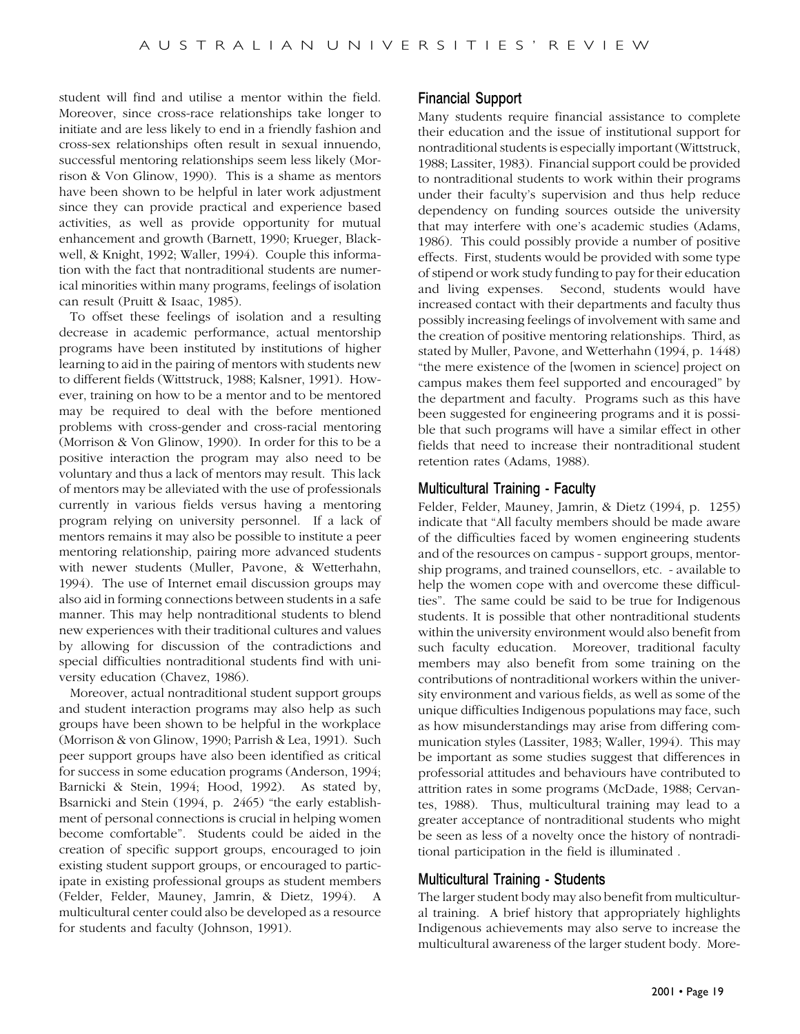student will find and utilise a mentor within the field. Moreover, since cross-race relationships take longer to initiate and are less likely to end in a friendly fashion and cross-sex relationships often result in sexual innuendo, successful mentoring relationships seem less likely (Morrison & Von Glinow, 1990). This is a shame as mentors have been shown to be helpful in later work adjustment since they can provide practical and experience based activities, as well as provide opportunity for mutual enhancement and growth (Barnett, 1990; Krueger, Blackwell, & Knight, 1992; Waller, 1994). Couple this information with the fact that nontraditional students are numerical minorities within many programs, feelings of isolation can result (Pruitt & Isaac, 1985).

To offset these feelings of isolation and a resulting decrease in academic performance, actual mentorship programs have been instituted by institutions of higher learning to aid in the pairing of mentors with students new to different fields (Wittstruck, 1988; Kalsner, 1991). However, training on how to be a mentor and to be mentored may be required to deal with the before mentioned problems with cross-gender and cross-racial mentoring (Morrison & Von Glinow, 1990). In order for this to be a positive interaction the program may also need to be voluntary and thus a lack of mentors may result. This lack of mentors may be alleviated with the use of professionals currently in various fields versus having a mentoring program relying on university personnel. If a lack of mentors remains it may also be possible to institute a peer mentoring relationship, pairing more advanced students with newer students (Muller, Pavone, & Wetterhahn, 1994). The use of Internet email discussion groups may also aid in forming connections between students in a safe manner. This may help nontraditional students to blend new experiences with their traditional cultures and values by allowing for discussion of the contradictions and special difficulties nontraditional students find with university education (Chavez, 1986).

Moreover, actual nontraditional student support groups and student interaction programs may also help as such groups have been shown to be helpful in the workplace (Morrison & von Glinow, 1990; Parrish & Lea, 1991). Such peer support groups have also been identified as critical for success in some education programs (Anderson, 1994; Barnicki & Stein, 1994; Hood, 1992). As stated by, Bsarnicki and Stein (1994, p. 2465) "the early establishment of personal connections is crucial in helping women become comfortable". Students could be aided in the creation of specific support groups, encouraged to join existing student support groups, or encouraged to participate in existing professional groups as student members (Felder, Felder, Mauney, Jamrin, & Dietz, 1994). A multicultural center could also be developed as a resource for students and faculty (Johnson, 1991).

#### Financial Support

Many students require financial assistance to complete their education and the issue of institutional support for nontraditional students is especially important (Wittstruck, 1988; Lassiter, 1983). Financial support could be provided to nontraditional students to work within their programs under their faculty's supervision and thus help reduce dependency on funding sources outside the university that may interfere with one's academic studies (Adams, 1986). This could possibly provide a number of positive effects. First, students would be provided with some type of stipend or work study funding to pay for their education and living expenses. Second, students would have increased contact with their departments and faculty thus possibly increasing feelings of involvement with same and the creation of positive mentoring relationships. Third, as stated by Muller, Pavone, and Wetterhahn (1994, p. 1448) "the mere existence of the [women in science] project on campus makes them feel supported and encouraged" by the department and faculty. Programs such as this have been suggested for engineering programs and it is possible that such programs will have a similar effect in other fields that need to increase their nontraditional student retention rates (Adams, 1988).

#### Multicultural Training - Faculty

Felder, Felder, Mauney, Jamrin, & Dietz (1994, p. 1255) indicate that "All faculty members should be made aware of the difficulties faced by women engineering students and of the resources on campus - support groups, mentorship programs, and trained counsellors, etc. - available to help the women cope with and overcome these difficulties". The same could be said to be true for Indigenous students. It is possible that other nontraditional students within the university environment would also benefit from such faculty education. Moreover, traditional faculty members may also benefit from some training on the contributions of nontraditional workers within the university environment and various fields, as well as some of the unique difficulties Indigenous populations may face, such as how misunderstandings may arise from differing communication styles (Lassiter, 1983; Waller, 1994). This may be important as some studies suggest that differences in professorial attitudes and behaviours have contributed to attrition rates in some programs (McDade, 1988; Cervantes, 1988). Thus, multicultural training may lead to a greater acceptance of nontraditional students who might be seen as less of a novelty once the history of nontraditional participation in the field is illuminated .

#### Multicultural Training - Students

The larger student body may also benefit from multicultural training. A brief history that appropriately highlights Indigenous achievements may also serve to increase the multicultural awareness of the larger student body. More